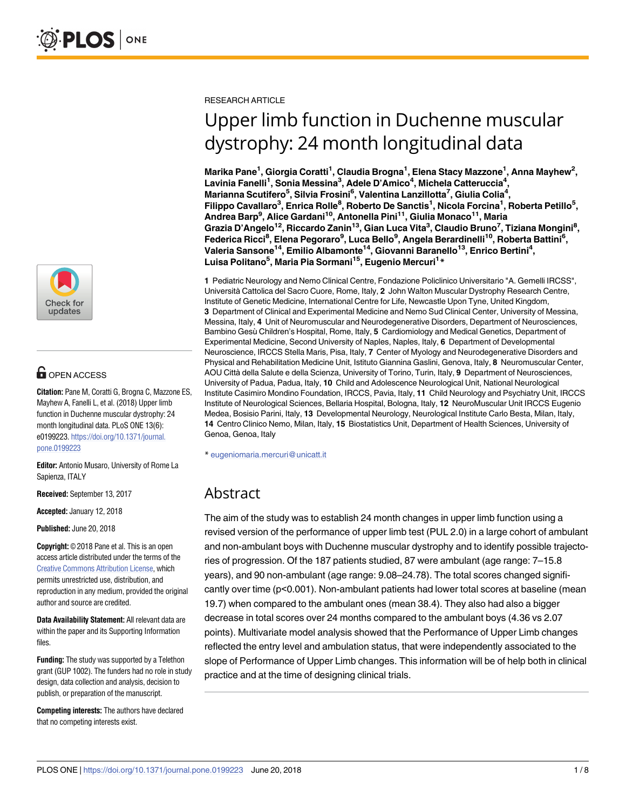

# **OPEN ACCESS**

**Citation:** Pane M, Coratti G, Brogna C, Mazzone ES, Mayhew A, Fanelli L, et al. (2018) Upper limb function in Duchenne muscular dystrophy: 24 month longitudinal data. PLoS ONE 13(6): e0199223. [https://doi.org/10.1371/journal.](https://doi.org/10.1371/journal.pone.0199223) [pone.0199223](https://doi.org/10.1371/journal.pone.0199223)

**Editor:** Antonio Musaro, University of Rome La Sapienza, ITALY

**Received:** September 13, 2017

**Accepted:** January 12, 2018

**Published:** June 20, 2018

**Copyright:** © 2018 Pane et al. This is an open access article distributed under the terms of the Creative Commons [Attribution](http://creativecommons.org/licenses/by/4.0/) License, which permits unrestricted use, distribution, and reproduction in any medium, provided the original author and source are credited.

**Data Availability Statement:** All relevant data are within the paper and its Supporting Information files.

**Funding:** The study was supported by a Telethon grant (GUP 1002). The funders had no role in study design, data collection and analysis, decision to publish, or preparation of the manuscript.

**Competing interests:** The authors have declared that no competing interests exist.

RESEARCH ARTICLE

# Upper limb function in Duchenne muscular dystrophy: 24 month longitudinal data

**Marika Pane1 , Giorgia Coratti1 , Claudia Brogna1 , Elena Stacy Mazzone1 , Anna Mayhew2 , Lavinia Fanelli1 , Sonia Messina3 , Adele D'Amico4 , Michela Catteruccia4 , Marianna Scutifero5 , Silvia Frosini6 , Valentina Lanzillotta7 , Giulia Colia4 , Filippo Cavallaro3 , Enrica Rolle8 , Roberto De Sanctis1 , Nicola Forcina1 , Roberta Petillo5 , Andrea Barp9 , Alice Gardani10, Antonella Pini11, Giulia Monaco11, Maria Grazia D'Angelo12, Riccardo Zanin13, Gian Luca Vita3 , Claudio Bruno7 , Tiziana Mongini8 ,**  $\mathsf{F}$ ederica Ricci<sup>8</sup>, Elena Pegoraro<sup>9</sup>, Luca Bello<sup>9</sup>, Angela Berardinelli<sup>10</sup>, Roberta Battini<sup>6</sup>, **Valeria Sansone14, Emilio Albamonte14, Giovanni Baranello13, Enrico Bertini4 , Luisa Politano5 , Maria Pia Sormani15, Eugenio Mercuri1 \***

**1** Pediatric Neurology and Nemo Clinical Centre, Fondazione Policlinico Universitario "A. Gemelli IRCSS", Università Cattolica del Sacro Cuore, Rome, Italy, **2** John Walton Muscular Dystrophy Research Centre, Institute of Genetic Medicine, International Centre for Life, Newcastle Upon Tyne, United Kingdom, **3** Department of Clinical and Experimental Medicine and Nemo Sud Clinical Center, University of Messina, Messina, Italy, **4** Unit of Neuromuscular and Neurodegenerative Disorders, Department of Neurosciences, Bambino Gesù Children's Hospital, Rome, Italy, 5 Cardiomiology and Medical Genetics, Department of Experimental Medicine, Second University of Naples, Naples, Italy, **6** Department of Developmental Neuroscience, IRCCS Stella Maris, Pisa, Italy, **7** Center of Myology and Neurodegenerative Disorders and Physical and Rehabilitation Medicine Unit, Istituto Giannina Gaslini, Genova, Italy, **8** Neuromuscular Center, AOU Città della Salute e della Scienza, University of Torino, Turin, Italy, **9** Department of Neurosciences, University of Padua, Padua, Italy, **10** Child and Adolescence Neurological Unit, National Neurological Institute Casimiro Mondino Foundation, IRCCS, Pavia, Italy, **11** Child Neurology and Psychiatry Unit, IRCCS Institute of Neurological Sciences, Bellaria Hospital, Bologna, Italy, **12** NeuroMuscular Unit IRCCS Eugenio Medea, Bosisio Parini, Italy, **13** Developmental Neurology, Neurological Institute Carlo Besta, Milan, Italy, **14** Centro Clinico Nemo, Milan, Italy, **15** Biostatistics Unit, Department of Health Sciences, University of Genoa, Genoa, Italy

\* eugeniomaria.mercuri@unicatt.it

# Abstract

The aim of the study was to establish 24 month changes in upper limb function using a revised version of the performance of upper limb test (PUL 2.0) in a large cohort of ambulant and non-ambulant boys with Duchenne muscular dystrophy and to identify possible trajectories of progression. Of the 187 patients studied, 87 were ambulant (age range: 7–15.8 years), and 90 non-ambulant (age range: 9.08–24.78). The total scores changed significantly over time (p<0.001). Non-ambulant patients had lower total scores at baseline (mean 19.7) when compared to the ambulant ones (mean 38.4). They also had also a bigger decrease in total scores over 24 months compared to the ambulant boys (4.36 vs 2.07 points). Multivariate model analysis showed that the Performance of Upper Limb changes reflected the entry level and ambulation status, that were independently associated to the slope of Performance of Upper Limb changes. This information will be of help both in clinical practice and at the time of designing clinical trials.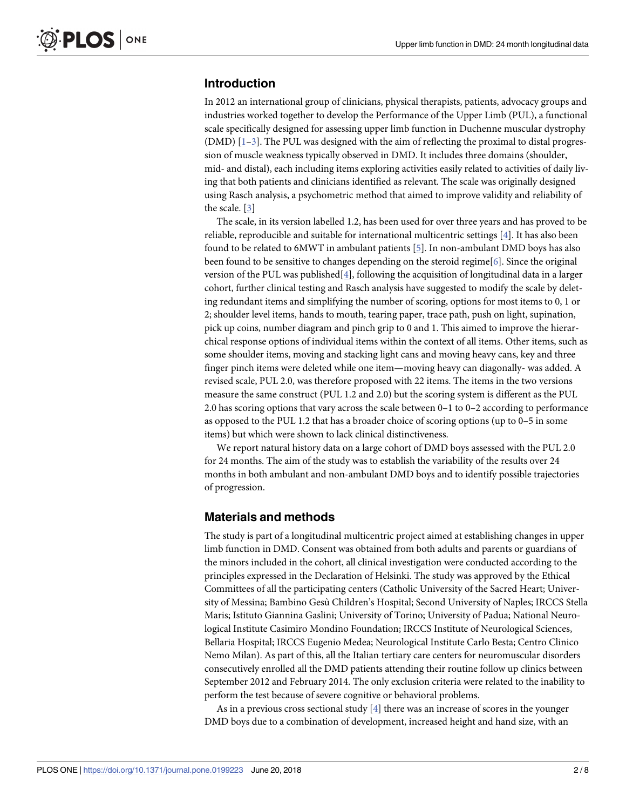# <span id="page-1-0"></span>**Introduction**

In 2012 an international group of clinicians, physical therapists, patients, advocacy groups and industries worked together to develop the Performance of the Upper Limb (PUL), a functional scale specifically designed for assessing upper limb function in Duchenne muscular dystrophy (DMD)  $[1-3]$  $[1-3]$ . The PUL was designed with the aim of reflecting the proximal to distal progression of muscle weakness typically observed in DMD. It includes three domains (shoulder, mid- and distal), each including items exploring activities easily related to activities of daily living that both patients and clinicians identified as relevant. The scale was originally designed using Rasch analysis, a psychometric method that aimed to improve validity and reliability of the scale. [\[3](#page-7-0)]

The scale, in its version labelled 1.2, has been used for over three years and has proved to be reliable, reproducible and suitable for international multicentric settings [\[4](#page-7-0)]. It has also been found to be related to 6MWT in ambulant patients [\[5\]](#page-7-0). In non-ambulant DMD boys has also been found to be sensitive to changes depending on the steroid regime[[6](#page-7-0)]. Since the original version of the PUL was published $[4]$  $[4]$ , following the acquisition of longitudinal data in a larger cohort, further clinical testing and Rasch analysis have suggested to modify the scale by deleting redundant items and simplifying the number of scoring, options for most items to 0, 1 or 2; shoulder level items, hands to mouth, tearing paper, trace path, push on light, supination, pick up coins, number diagram and pinch grip to 0 and 1. This aimed to improve the hierarchical response options of individual items within the context of all items. Other items, such as some shoulder items, moving and stacking light cans and moving heavy cans, key and three finger pinch items were deleted while one item—moving heavy can diagonally- was added. A revised scale, PUL 2.0, was therefore proposed with 22 items. The items in the two versions measure the same construct (PUL 1.2 and 2.0) but the scoring system is different as the PUL 2.0 has scoring options that vary across the scale between 0–1 to 0–2 according to performance as opposed to the PUL 1.2 that has a broader choice of scoring options (up to 0–5 in some items) but which were shown to lack clinical distinctiveness.

We report natural history data on a large cohort of DMD boys assessed with the PUL 2.0 for 24 months. The aim of the study was to establish the variability of the results over 24 months in both ambulant and non-ambulant DMD boys and to identify possible trajectories of progression.

## **Materials and methods**

The study is part of a longitudinal multicentric project aimed at establishing changes in upper limb function in DMD. Consent was obtained from both adults and parents or guardians of the minors included in the cohort, all clinical investigation were conducted according to the principles expressed in the Declaration of Helsinki. The study was approved by the Ethical Committees of all the participating centers (Catholic University of the Sacred Heart; University of Messina; Bambino Gesù Children's Hospital; Second University of Naples; IRCCS Stella Maris; Istituto Giannina Gaslini; University of Torino; University of Padua; National Neurological Institute Casimiro Mondino Foundation; IRCCS Institute of Neurological Sciences, Bellaria Hospital; IRCCS Eugenio Medea; Neurological Institute Carlo Besta; Centro Clinico Nemo Milan). As part of this, all the Italian tertiary care centers for neuromuscular disorders consecutively enrolled all the DMD patients attending their routine follow up clinics between September 2012 and February 2014. The only exclusion criteria were related to the inability to perform the test because of severe cognitive or behavioral problems.

As in a previous cross sectional study  $[4]$  there was an increase of scores in the younger DMD boys due to a combination of development, increased height and hand size, with an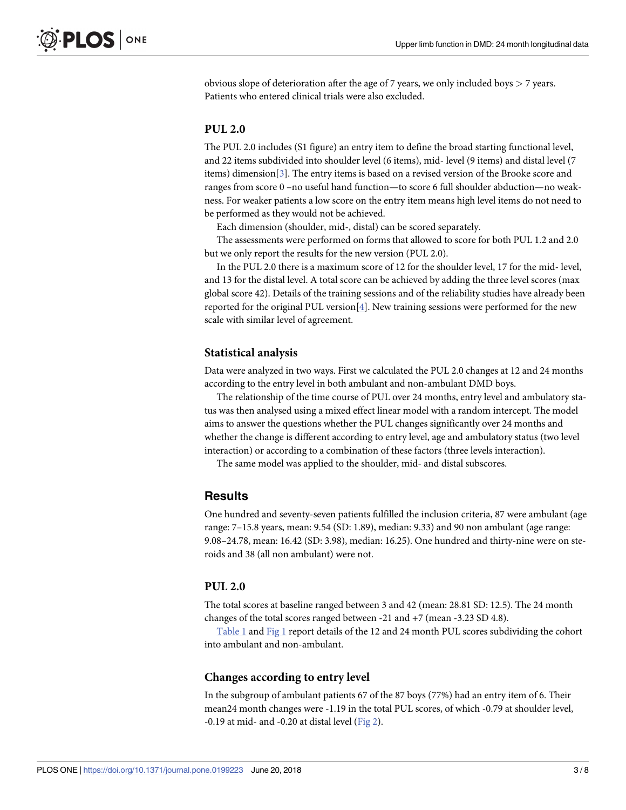<span id="page-2-0"></span>obvious slope of deterioration after the age of 7 years, we only included boys *>* 7 years. Patients who entered clinical trials were also excluded.

# **PUL 2.0**

The PUL 2.0 includes (S1 figure) an entry item to define the broad starting functional level, and 22 items subdivided into shoulder level (6 items), mid- level (9 items) and distal level (7 items) dimension[\[3](#page-7-0)]. The entry items is based on a revised version of the Brooke score and ranges from score 0 –no useful hand function—to score 6 full shoulder abduction—no weakness. For weaker patients a low score on the entry item means high level items do not need to be performed as they would not be achieved.

Each dimension (shoulder, mid-, distal) can be scored separately.

The assessments were performed on forms that allowed to score for both PUL 1.2 and 2.0 but we only report the results for the new version (PUL 2.0).

In the PUL 2.0 there is a maximum score of 12 for the shoulder level, 17 for the mid- level, and 13 for the distal level. A total score can be achieved by adding the three level scores (max global score 42). Details of the training sessions and of the reliability studies have already been reported for the original PUL version[[4](#page-7-0)]. New training sessions were performed for the new scale with similar level of agreement.

#### **Statistical analysis**

Data were analyzed in two ways. First we calculated the PUL 2.0 changes at 12 and 24 months according to the entry level in both ambulant and non-ambulant DMD boys.

The relationship of the time course of PUL over 24 months, entry level and ambulatory status was then analysed using a mixed effect linear model with a random intercept. The model aims to answer the questions whether the PUL changes significantly over 24 months and whether the change is different according to entry level, age and ambulatory status (two level interaction) or according to a combination of these factors (three levels interaction).

The same model was applied to the shoulder, mid- and distal subscores.

#### **Results**

One hundred and seventy-seven patients fulfilled the inclusion criteria, 87 were ambulant (age range: 7–15.8 years, mean: 9.54 (SD: 1.89), median: 9.33) and 90 non ambulant (age range: 9.08–24.78, mean: 16.42 (SD: 3.98), median: 16.25). One hundred and thirty-nine were on steroids and 38 (all non ambulant) were not.

#### **PUL 2.0**

The total scores at baseline ranged between 3 and 42 (mean: 28.81 SD: 12.5). The 24 month changes of the total scores ranged between -21 and +7 (mean -3.23 SD 4.8).

[Table](#page-3-0) 1 and [Fig](#page-3-0) 1 report details of the 12 and 24 month PUL scores subdividing the cohort into ambulant and non-ambulant.

#### **Changes according to entry level**

In the subgroup of ambulant patients 67 of the 87 boys (77%) had an entry item of 6. Their mean24 month changes were -1.19 in the total PUL scores, of which -0.79 at shoulder level, -0.19 at mid- and -0.20 at distal level ([Fig](#page-4-0) 2).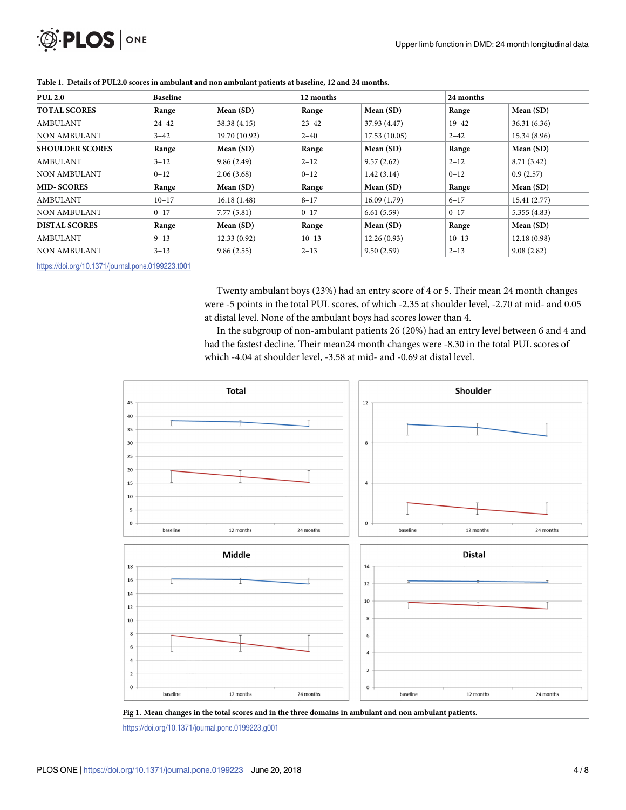<span id="page-3-0"></span>

| <b>PUL 2.0</b>         | <b>Baseline</b> |               | 12 months |              | 24 months |              |
|------------------------|-----------------|---------------|-----------|--------------|-----------|--------------|
| <b>TOTAL SCORES</b>    | Range           | Mean (SD)     | Range     | Mean (SD)    | Range     | Mean (SD)    |
| <b>AMBULANT</b>        | $24 - 42$       | 38.38 (4.15)  | $23 - 42$ | 37.93 (4.47) | $19 - 42$ | 36.31(6.36)  |
| <b>NON AMBULANT</b>    | $3 - 42$        | 19.70 (10.92) | $2 - 40$  | 17.53(10.05) | $2 - 42$  | 15.34 (8.96) |
| <b>SHOULDER SCORES</b> | Range           | Mean (SD)     | Range     | Mean (SD)    | Range     | Mean (SD)    |
| AMBULANT               | $3 - 12$        | 9.86(2.49)    | $2 - 12$  | 9.57(2.62)   | $2 - 12$  | 8.71(3.42)   |
| <b>NON AMBULANT</b>    | $0 - 12$        | 2.06(3.68)    | $0 - 12$  | 1.42(3.14)   | $0 - 12$  | 0.9(2.57)    |
| <b>MID-SCORES</b>      | Range           | Mean (SD)     | Range     | Mean (SD)    | Range     | Mean (SD)    |
| AMBULANT               | $10 - 17$       | 16.18(1.48)   | $8 - 17$  | 16.09(1.79)  | $6 - 17$  | 15.41(2.77)  |
| <b>NON AMBULANT</b>    | $0 - 17$        | 7.77(5.81)    | $0 - 17$  | 6.61(5.59)   | $0 - 17$  | 5.355(4.83)  |
| <b>DISTAL SCORES</b>   | Range           | Mean (SD)     | Range     | Mean (SD)    | Range     | Mean (SD)    |
| AMBULANT               | $9 - 13$        | 12.33(0.92)   | $10 - 13$ | 12.26(0.93)  | $10 - 13$ | 12.18(0.98)  |
| <b>NON AMBULANT</b>    | $3 - 13$        | 9.86(2.55)    | $2 - 13$  | 9.50(2.59)   | $2 - 13$  | 9.08(2.82)   |

[Table](#page-2-0) 1. Details of PUL2.0 scores in ambulant and non ambulant patients at baseline, 12 and 24 months.

<https://doi.org/10.1371/journal.pone.0199223.t001>

Twenty ambulant boys (23%) had an entry score of 4 or 5. Their mean 24 month changes were -5 points in the total PUL scores, of which -2.35 at shoulder level, -2.70 at mid- and 0.05 at distal level. None of the ambulant boys had scores lower than 4.

In the subgroup of non-ambulant patients 26 (20%) had an entry level between 6 and 4 and had the fastest decline. Their mean24 month changes were -8.30 in the total PUL scores of which -4.04 at shoulder level, -3.58 at mid- and -0.69 at distal level.





<https://doi.org/10.1371/journal.pone.0199223.g001>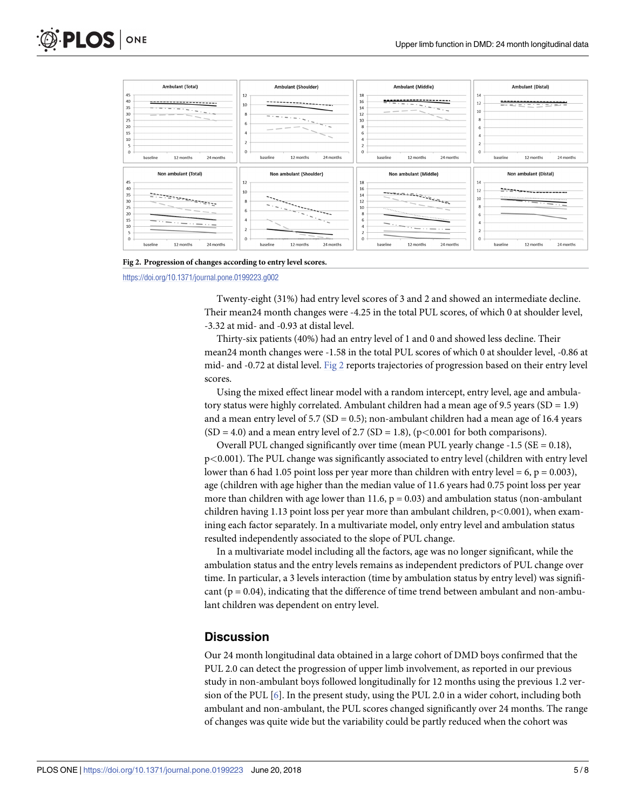<span id="page-4-0"></span>



**[Fig](#page-2-0) 2. Progression of changes according to entry level scores.**

<https://doi.org/10.1371/journal.pone.0199223.g002>

Twenty-eight (31%) had entry level scores of 3 and 2 and showed an intermediate decline. Their mean24 month changes were -4.25 in the total PUL scores, of which 0 at shoulder level, -3.32 at mid- and -0.93 at distal level.

Thirty-six patients (40%) had an entry level of 1 and 0 and showed less decline. Their mean24 month changes were -1.58 in the total PUL scores of which 0 at shoulder level, -0.86 at mid- and -0.72 at distal level. Fig 2 reports trajectories of progression based on their entry level scores.

Using the mixed effect linear model with a random intercept, entry level, age and ambulatory status were highly correlated. Ambulant children had a mean age of 9.5 years (SD =  $1.9$ ) and a mean entry level of 5.7 ( $SD = 0.5$ ); non-ambulant children had a mean age of 16.4 years  $(SD = 4.0)$  and a mean entry level of 2.7  $(SD = 1.8)$ ,  $(p < 0.001$  for both comparisons).

Overall PUL changed significantly over time (mean PUL yearly change  $-1.5$  (SE = 0.18), p*<*0.001). The PUL change was significantly associated to entry level (children with entry level lower than 6 had 1.05 point loss per year more than children with entry level  $= 6$ ,  $p = 0.003$ ), age (children with age higher than the median value of 11.6 years had 0.75 point loss per year more than children with age lower than 11.6,  $p = 0.03$  and ambulation status (non-ambulant children having 1.13 point loss per year more than ambulant children, p*<*0.001), when examining each factor separately. In a multivariate model, only entry level and ambulation status resulted independently associated to the slope of PUL change.

In a multivariate model including all the factors, age was no longer significant, while the ambulation status and the entry levels remains as independent predictors of PUL change over time. In particular, a 3 levels interaction (time by ambulation status by entry level) was significant  $(p = 0.04)$ , indicating that the difference of time trend between ambulant and non-ambulant children was dependent on entry level.

#### **Discussion**

Our 24 month longitudinal data obtained in a large cohort of DMD boys confirmed that the PUL 2.0 can detect the progression of upper limb involvement, as reported in our previous study in non-ambulant boys followed longitudinally for 12 months using the previous 1.2 version of the PUL [[6\]](#page-7-0). In the present study, using the PUL 2.0 in a wider cohort, including both ambulant and non-ambulant, the PUL scores changed significantly over 24 months. The range of changes was quite wide but the variability could be partly reduced when the cohort was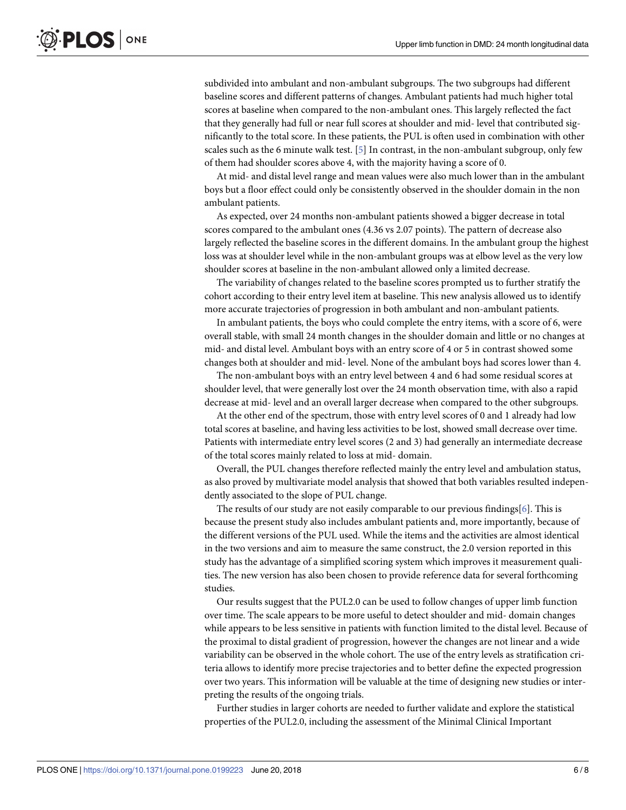subdivided into ambulant and non-ambulant subgroups. The two subgroups had different baseline scores and different patterns of changes. Ambulant patients had much higher total scores at baseline when compared to the non-ambulant ones. This largely reflected the fact that they generally had full or near full scores at shoulder and mid- level that contributed significantly to the total score. In these patients, the PUL is often used in combination with other scales such as the 6 minute walk test.  $[5]$  $[5]$  $[5]$  In contrast, in the non-ambulant subgroup, only few of them had shoulder scores above 4, with the majority having a score of 0.

At mid- and distal level range and mean values were also much lower than in the ambulant boys but a floor effect could only be consistently observed in the shoulder domain in the non ambulant patients.

As expected, over 24 months non-ambulant patients showed a bigger decrease in total scores compared to the ambulant ones (4.36 vs 2.07 points). The pattern of decrease also largely reflected the baseline scores in the different domains. In the ambulant group the highest loss was at shoulder level while in the non-ambulant groups was at elbow level as the very low shoulder scores at baseline in the non-ambulant allowed only a limited decrease.

The variability of changes related to the baseline scores prompted us to further stratify the cohort according to their entry level item at baseline. This new analysis allowed us to identify more accurate trajectories of progression in both ambulant and non-ambulant patients.

In ambulant patients, the boys who could complete the entry items, with a score of 6, were overall stable, with small 24 month changes in the shoulder domain and little or no changes at mid- and distal level. Ambulant boys with an entry score of 4 or 5 in contrast showed some changes both at shoulder and mid- level. None of the ambulant boys had scores lower than 4.

The non-ambulant boys with an entry level between 4 and 6 had some residual scores at shoulder level, that were generally lost over the 24 month observation time, with also a rapid decrease at mid- level and an overall larger decrease when compared to the other subgroups.

At the other end of the spectrum, those with entry level scores of 0 and 1 already had low total scores at baseline, and having less activities to be lost, showed small decrease over time. Patients with intermediate entry level scores (2 and 3) had generally an intermediate decrease of the total scores mainly related to loss at mid- domain.

Overall, the PUL changes therefore reflected mainly the entry level and ambulation status, as also proved by multivariate model analysis that showed that both variables resulted independently associated to the slope of PUL change.

The results of our study are not easily comparable to our previous findings $[6]$  $[6]$  $[6]$ . This is because the present study also includes ambulant patients and, more importantly, because of the different versions of the PUL used. While the items and the activities are almost identical in the two versions and aim to measure the same construct, the 2.0 version reported in this study has the advantage of a simplified scoring system which improves it measurement qualities. The new version has also been chosen to provide reference data for several forthcoming studies.

Our results suggest that the PUL2.0 can be used to follow changes of upper limb function over time. The scale appears to be more useful to detect shoulder and mid- domain changes while appears to be less sensitive in patients with function limited to the distal level. Because of the proximal to distal gradient of progression, however the changes are not linear and a wide variability can be observed in the whole cohort. The use of the entry levels as stratification criteria allows to identify more precise trajectories and to better define the expected progression over two years. This information will be valuable at the time of designing new studies or interpreting the results of the ongoing trials.

Further studies in larger cohorts are needed to further validate and explore the statistical properties of the PUL2.0, including the assessment of the Minimal Clinical Important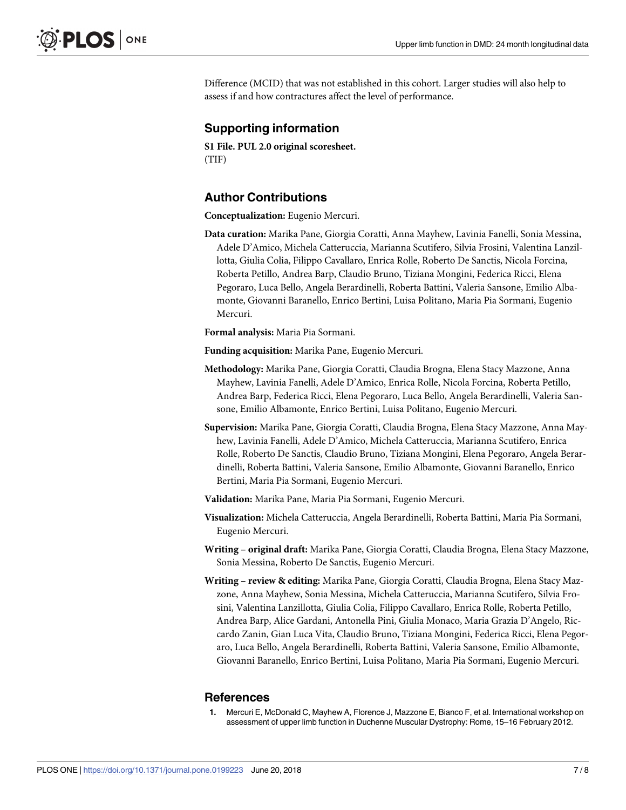<span id="page-6-0"></span>Difference (MCID) that was not established in this cohort. Larger studies will also help to assess if and how contractures affect the level of performance.

## **Supporting information**

**S1 [File.](http://www.plosone.org/article/fetchSingleRepresentation.action?uri=info:doi/10.1371/journal.pone.0199223.s001) PUL 2.0 original scoresheet.** (TIF)

## **Author Contributions**

**Conceptualization:** Eugenio Mercuri.

**Data curation:** Marika Pane, Giorgia Coratti, Anna Mayhew, Lavinia Fanelli, Sonia Messina, Adele D'Amico, Michela Catteruccia, Marianna Scutifero, Silvia Frosini, Valentina Lanzillotta, Giulia Colia, Filippo Cavallaro, Enrica Rolle, Roberto De Sanctis, Nicola Forcina, Roberta Petillo, Andrea Barp, Claudio Bruno, Tiziana Mongini, Federica Ricci, Elena Pegoraro, Luca Bello, Angela Berardinelli, Roberta Battini, Valeria Sansone, Emilio Albamonte, Giovanni Baranello, Enrico Bertini, Luisa Politano, Maria Pia Sormani, Eugenio Mercuri.

**Formal analysis:** Maria Pia Sormani.

**Funding acquisition:** Marika Pane, Eugenio Mercuri.

- **Methodology:** Marika Pane, Giorgia Coratti, Claudia Brogna, Elena Stacy Mazzone, Anna Mayhew, Lavinia Fanelli, Adele D'Amico, Enrica Rolle, Nicola Forcina, Roberta Petillo, Andrea Barp, Federica Ricci, Elena Pegoraro, Luca Bello, Angela Berardinelli, Valeria Sansone, Emilio Albamonte, Enrico Bertini, Luisa Politano, Eugenio Mercuri.
- **Supervision:** Marika Pane, Giorgia Coratti, Claudia Brogna, Elena Stacy Mazzone, Anna Mayhew, Lavinia Fanelli, Adele D'Amico, Michela Catteruccia, Marianna Scutifero, Enrica Rolle, Roberto De Sanctis, Claudio Bruno, Tiziana Mongini, Elena Pegoraro, Angela Berardinelli, Roberta Battini, Valeria Sansone, Emilio Albamonte, Giovanni Baranello, Enrico Bertini, Maria Pia Sormani, Eugenio Mercuri.
- **Validation:** Marika Pane, Maria Pia Sormani, Eugenio Mercuri.
- **Visualization:** Michela Catteruccia, Angela Berardinelli, Roberta Battini, Maria Pia Sormani, Eugenio Mercuri.
- **Writing – original draft:** Marika Pane, Giorgia Coratti, Claudia Brogna, Elena Stacy Mazzone, Sonia Messina, Roberto De Sanctis, Eugenio Mercuri.
- **Writing – review & editing:** Marika Pane, Giorgia Coratti, Claudia Brogna, Elena Stacy Mazzone, Anna Mayhew, Sonia Messina, Michela Catteruccia, Marianna Scutifero, Silvia Frosini, Valentina Lanzillotta, Giulia Colia, Filippo Cavallaro, Enrica Rolle, Roberta Petillo, Andrea Barp, Alice Gardani, Antonella Pini, Giulia Monaco, Maria Grazia D'Angelo, Riccardo Zanin, Gian Luca Vita, Claudio Bruno, Tiziana Mongini, Federica Ricci, Elena Pegoraro, Luca Bello, Angela Berardinelli, Roberta Battini, Valeria Sansone, Emilio Albamonte, Giovanni Baranello, Enrico Bertini, Luisa Politano, Maria Pia Sormani, Eugenio Mercuri.

#### **References**

**[1](#page-1-0).** Mercuri E, McDonald C, Mayhew A, Florence J, Mazzone E, Bianco F, et al. International workshop on assessment of upper limb function in Duchenne Muscular Dystrophy: Rome, 15–16 February 2012.